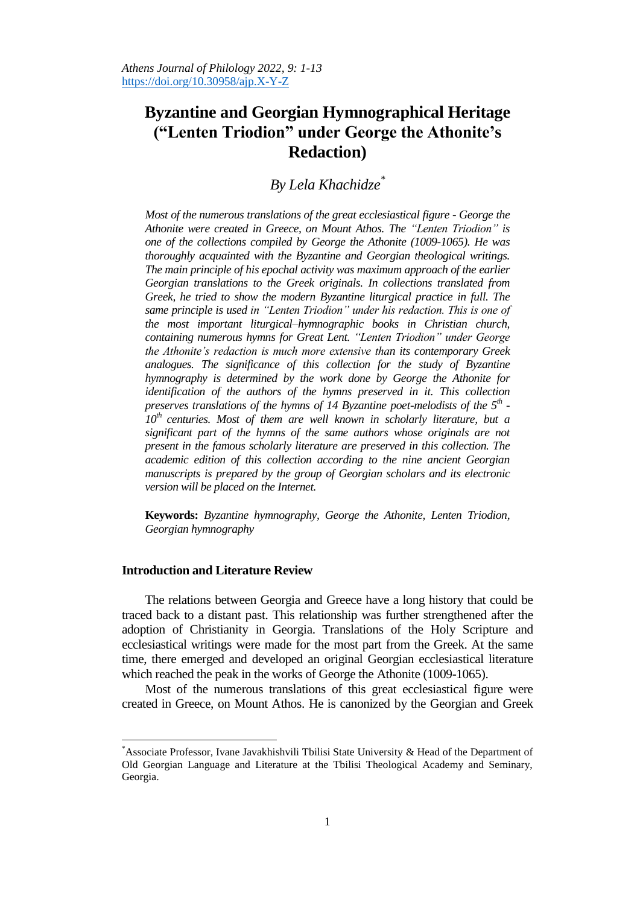# **Byzantine and Georgian Hymnographical Heritage ("Lenten Triodion" under George the Athonite's Redaction)**

*By Lela Khachidze\**

*Most of the numerous translations of the great ecclesiastical figure - George the Athonite were created in Greece, on Mount Athos. The "Lenten Triodion" is one of the collections compiled by George the Athonite (1009-1065). He was thoroughly acquainted with the Byzantine and Georgian theological writings. The main principle of his epochal activity was maximum approach of the earlier Georgian translations to the Greek originals. In collections translated from Greek, he tried to show the modern Byzantine liturgical practice in full. The same principle is used in "Lenten Triodion" under his redaction. This is one of the most important liturgical–hymnographic books in Christian church, containing numerous hymns for Great Lent. "Lenten Triodion" under George the Athonite's redaction is much more extensive than its contemporary Greek analogues. The significance of this collection for the study of Byzantine hymnography is determined by the work done by George the Athonite for identification of the authors of the hymns preserved in it. This collection preserves translations of the hymns of 14 Byzantine poet-melodists of the 5th - 10th centuries. Most of them are well known in scholarly literature, but a significant part of the hymns of the same authors whose originals are not present in the famous scholarly literature are preserved in this collection. The academic edition of this collection according to the nine ancient Georgian manuscripts is prepared by the group of Georgian scholars and its electronic version will be placed on the Internet.* 

**Keywords:** *Byzantine hymnography, George the Athonite, Lenten Triodion, Georgian hymnography*

# **Introduction and Literature Review**

 $\overline{a}$ 

The relations between Georgia and Greece have a long history that could be traced back to a distant past. This relationship was further strengthened after the adoption of Christianity in Georgia. Translations of the Holy Scripture and ecclesiastical writings were made for the most part from the Greek. At the same time, there emerged and developed an original Georgian ecclesiastical literature which reached the peak in the works of George the Athonite (1009-1065).

Most of the numerous translations of this great ecclesiastical figure were created in Greece, on Mount Athos. He is canonized by the Georgian and Greek

<sup>\*</sup>Associate Professor, Ivane Javakhishvili Tbilisi State University & Head of the Department of Old Georgian Language and Literature at the Tbilisi Theological Academy and Seminary, Georgia.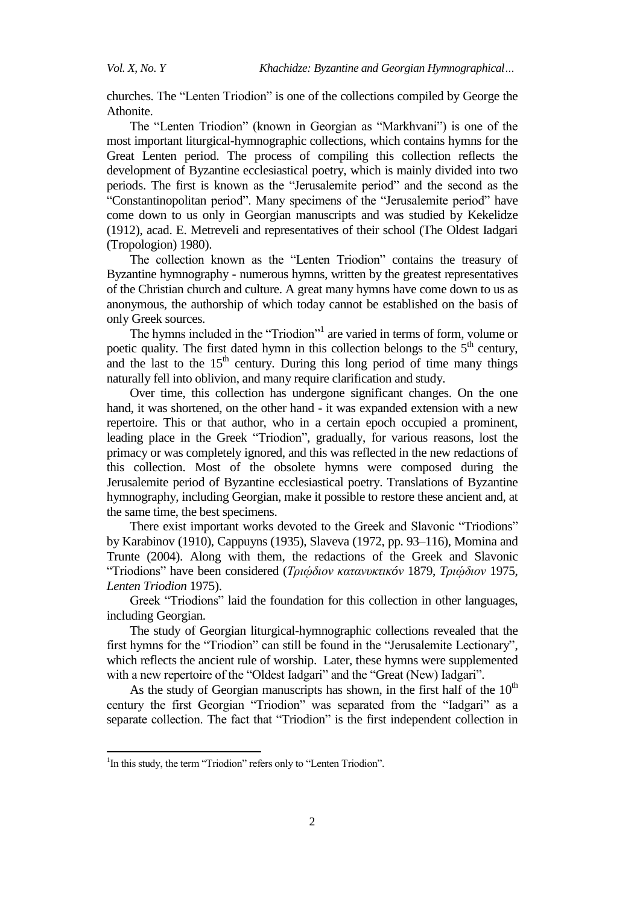churches. The "Lenten Triodion" is one of the collections compiled by George the Athonite.

The "Lenten Triodion" (known in Georgian as "Markhvani") is one of the most important liturgical-hymnographic collections, which contains hymns for the Great Lenten period. The process of compiling this collection reflects the development of Byzantine ecclesiastical poetry, which is mainly divided into two periods. The first is known as the "Jerusalemite period" and the second as the "Constantinopolitan period". Many specimens of the "Jerusalemite period" have come down to us only in Georgian manuscripts and was studied by Kekelidze (1912), acad. E. Metreveli and representatives of their school (The Oldest Iadgari (Tropologion) 1980).

The collection known as the "Lenten Triodion" contains the treasury of Byzantine hymnography - numerous hymns, written by the greatest representatives of the Christian church and culture. A great many hymns have come down to us as anonymous, the authorship of which today cannot be established on the basis of only Greek sources.

The hymns included in the "Triodion"<sup>1</sup> are varied in terms of form, volume or poetic quality. The first dated hymn in this collection belongs to the  $5<sup>th</sup>$  century, and the last to the  $15<sup>th</sup>$  century. During this long period of time many things naturally fell into oblivion, and many require clarification and study.

Over time, this collection has undergone significant changes. On the one hand, it was shortened, on the other hand - it was expanded extension with a new repertoire. This or that author, who in a certain epoch occupied a prominent, leading place in the Greek "Triodion", gradually, for various reasons, lost the primacy or was completely ignored, and this was reflected in the new redactions of this collection. Most of the obsolete hymns were composed during the Jerusalemite period of Byzantine ecclesiastical poetry. Translations of Byzantine hymnography, including Georgian, make it possible to restore these ancient and, at the same time, the best specimens.

There exist important works devoted to the Greek and Slavonic "Triodions" by Karabinov (1910), Cappuyns (1935), Slaveva (1972, pp. 93–116), Momina and Trunte (2004). Along with them, the redactions of the Greek and Slavonic ―Triodions‖ have been considered (*Τριῴδιον κατανσκτικóν* 1879, *Tριῴδιον* 1975, *Lenten Triodion* 1975).

Greek "Triodions" laid the foundation for this collection in other languages, including Georgian.

The study of Georgian liturgical-hymnographic collections revealed that the first hymns for the "Triodion" can still be found in the "Jerusalemite Lectionary", which reflects the ancient rule of worship. Later, these hymns were supplemented with a new repertoire of the "Oldest Iadgari" and the "Great (New) Iadgari".

As the study of Georgian manuscripts has shown, in the first half of the  $10<sup>th</sup>$ century the first Georgian "Triodion" was separated from the "Iadgari" as a separate collection. The fact that "Triodion" is the first independent collection in

 $\overline{a}$ 

<sup>&</sup>lt;sup>1</sup>In this study, the term "Triodion" refers only to "Lenten Triodion".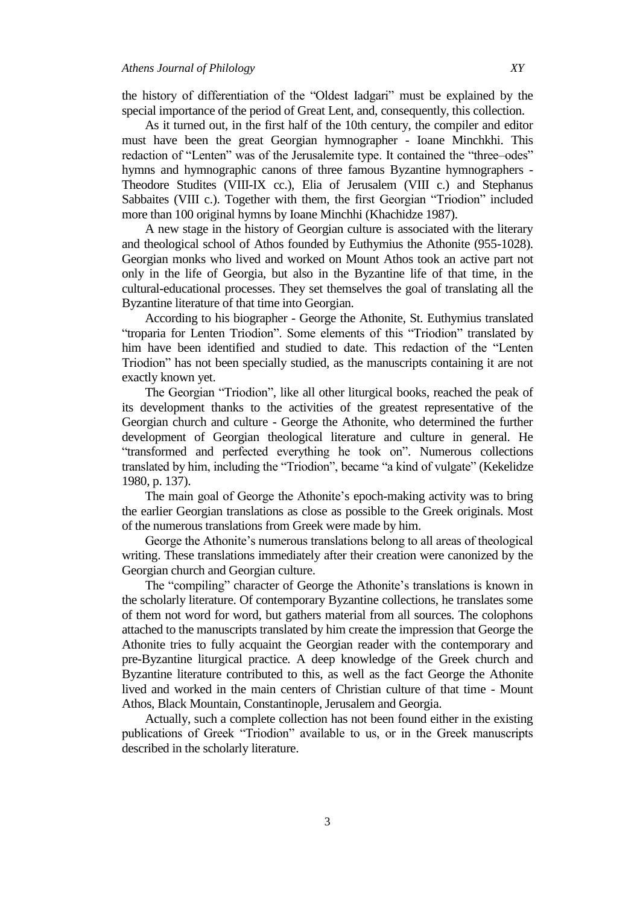the history of differentiation of the "Oldest Iadgari" must be explained by the special importance of the period of Great Lent, and, consequently, this collection.

As it turned out, in the first half of the 10th century, the compiler and editor must have been the great Georgian hymnographer - Ioane Minchkhi. This redaction of "Lenten" was of the Jerusalemite type. It contained the "three–odes" hymns and hymnographic canons of three famous Byzantine hymnographers - Theodore Studites (VIII-IX cc.), Elia of Jerusalem (VIII c.) and Stephanus Sabbaites (VIII c.). Together with them, the first Georgian "Triodion" included more than 100 original hymns by Ioane Minchhi (Khachidze 1987).

A new stage in the history of Georgian culture is associated with the literary and theological school of Athos founded by Euthymius the Athonite (955-1028). Georgian monks who lived and worked on Mount Athos took an active part not only in the life of Georgia, but also in the Byzantine life of that time, in the cultural-educational processes. They set themselves the goal of translating all the Byzantine literature of that time into Georgian.

According to his biographer - George the Athonite, St. Euthymius translated "troparia for Lenten Triodion". Some elements of this "Triodion" translated by him have been identified and studied to date. This redaction of the "Lenten Triodion" has not been specially studied, as the manuscripts containing it are not exactly known yet.

The Georgian "Triodion", like all other liturgical books, reached the peak of its development thanks to the activities of the greatest representative of the Georgian church and culture - George the Athonite, who determined the further development of Georgian theological literature and culture in general. He "transformed and perfected everything he took on". Numerous collections translated by him, including the "Triodion", became "a kind of vulgate" (Kekelidze 1980, p. 137).

The main goal of George the Athonite's epoch-making activity was to bring the earlier Georgian translations as close as possible to the Greek originals. Most of the numerous translations from Greek were made by him.

George the Athonite's numerous translations belong to all areas of theological writing. These translations immediately after their creation were canonized by the Georgian church and Georgian culture.

The "compiling" character of George the Athonite's translations is known in the scholarly literature. Of contemporary Byzantine collections, he translates some of them not word for word, but gathers material from all sources. The colophons attached to the manuscripts translated by him create the impression that George the Athonite tries to fully acquaint the Georgian reader with the contemporary and pre-Byzantine liturgical practice. A deep knowledge of the Greek church and Byzantine literature contributed to this, as well as the fact George the Athonite lived and worked in the main centers of Christian culture of that time - Mount Athos, Black Mountain, Constantinople, Jerusalem and Georgia.

Actually, such a complete collection has not been found either in the existing publications of Greek "Triodion" available to us, or in the Greek manuscripts described in the scholarly literature.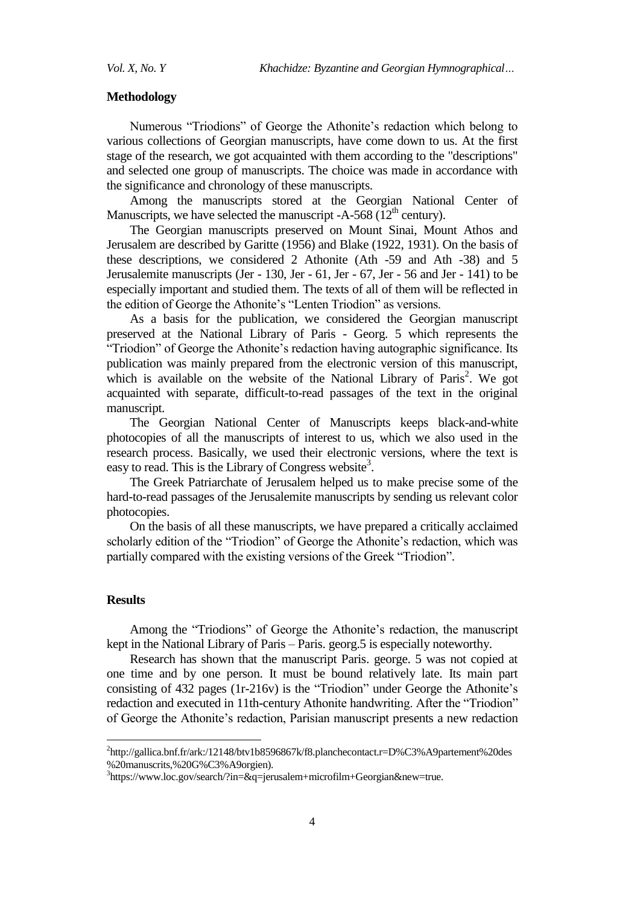## **Methodology**

Numerous "Triodions" of George the Athonite's redaction which belong to various collections of Georgian manuscripts, have come down to us. At the first stage of the research, we got acquainted with them according to the "descriptions" and selected one group of manuscripts. The choice was made in accordance with the significance and chronology of these manuscripts.

Among the manuscripts stored at the Georgian National Center of Manuscripts, we have selected the manuscript -A-568  $(12<sup>th</sup>$  century).

The Georgian manuscripts preserved on Mount Sinai, Mount Athos and Jerusalem are described by Garitte (1956) and Blake (1922, 1931). On the basis of these descriptions, we considered 2 Athonite (Ath -59 and Ath -38) and 5 Jerusalemite manuscripts (Jer - 130, Jer - 61, Jer - 67, Jer - 56 and Jer - 141) to be especially important and studied them. The texts of all of them will be reflected in the edition of George the Athonite's "Lenten Triodion" as versions.

As a basis for the publication, we considered the Georgian manuscript preserved at the National Library of Paris - Georg. 5 which represents the "Triodion" of George the Athonite's redaction having autographic significance. Its publication was mainly prepared from the electronic version of this manuscript, which is available on the website of the National Library of Paris<sup>2</sup>. We got acquainted with separate, difficult-to-read passages of the text in the original manuscript.

The Georgian National Center of Manuscripts keeps black-and-white photocopies of all the manuscripts of interest to us, which we also used in the research process. Basically, we used their electronic versions, where the text is easy to read. This is the Library of Congress website<sup>3</sup>.

The Greek Patriarchate of Jerusalem helped us to make precise some of the hard-to-read passages of the Jerusalemite manuscripts by sending us relevant color photocopies.

On the basis of all these manuscripts, we have prepared a critically acclaimed scholarly edition of the "Triodion" of George the Athonite's redaction, which was partially compared with the existing versions of the Greek "Triodion".

#### **Results**

 $\ddot{\phantom{a}}$ 

Among the "Triodions" of George the Athonite's redaction, the manuscript kept in the National Library of Paris – Paris. georg.5 is especially noteworthy.

Research has shown that the manuscript Paris. george. 5 was not copied at one time and by one person. It must be bound relatively late. Its main part consisting of  $432$  pages (1r-216v) is the "Triodion" under George the Athonite's redaction and executed in 11th-century Athonite handwriting. After the "Triodion" of George the Athonite's redaction, Parisian manuscript presents a new redaction

<sup>2</sup> [http://gallica.bnf.fr/ark:/12148/btv1b8596867k/f8.planchecontact.r=D%C3%A9partement%20des](http://gallica.bnf.fr/ark:/12148/btv1b8596867k/f8.planchecontact.r=D%C3%A9partement%20des%20manuscrits,%20G%C3%A9orgien) [%20manuscrits,%20G%C3%A9orgien\)](http://gallica.bnf.fr/ark:/12148/btv1b8596867k/f8.planchecontact.r=D%C3%A9partement%20des%20manuscrits,%20G%C3%A9orgien).

<sup>3</sup> https://www.loc.gov/search/?in=&q=jerusalem+microfilm+Georgian&new=true.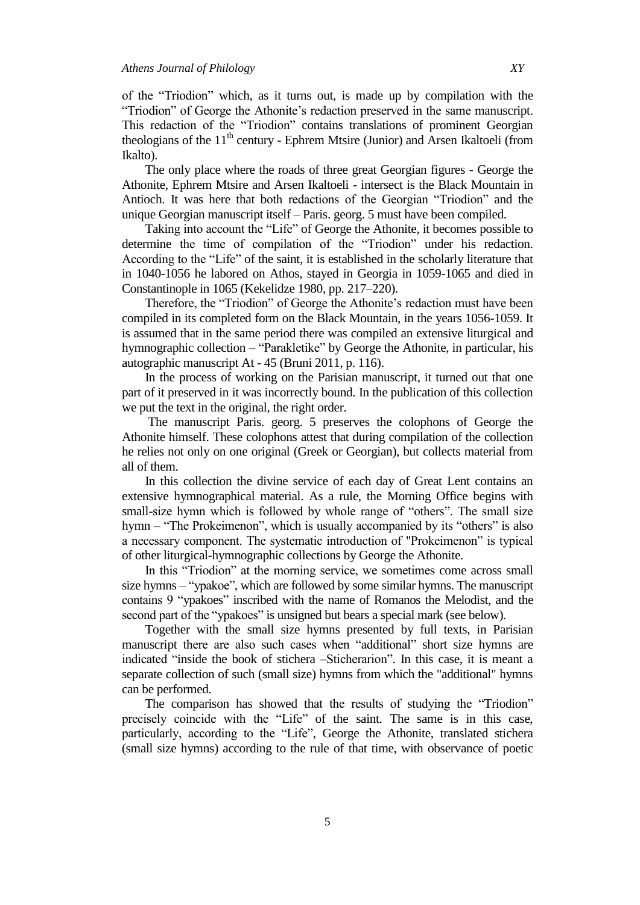of the "Triodion" which, as it turns out, is made up by compilation with the "Triodion" of George the Athonite's redaction preserved in the same manuscript. This redaction of the "Triodion" contains translations of prominent Georgian theologians of the  $11<sup>th</sup>$  century - Ephrem Mtsire (Junior) and Arsen Ikaltoeli (from Ikalto).

The only place where the roads of three great Georgian figures - George the Athonite, Ephrem Mtsire and Arsen Ikaltoeli - intersect is the Black Mountain in Antioch. It was here that both redactions of the Georgian "Triodion" and the unique Georgian manuscript itself – Paris. georg. 5 must have been compiled.

Taking into account the "Life" of George the Athonite, it becomes possible to determine the time of compilation of the "Triodion" under his redaction. According to the "Life" of the saint, it is established in the scholarly literature that in 1040-1056 he labored on Athos, stayed in Georgia in 1059-1065 and died in Constantinople in 1065 (Kekelidze 1980, pp. 217–220).

Therefore, the "Triodion" of George the Athonite's redaction must have been compiled in its completed form on the Black Mountain, in the years 1056-1059. It is assumed that in the same period there was compiled an extensive liturgical and hymnographic collection – "Parakletike" by George the Athonite, in particular, his autographic manuscript At - 45 (Bruni 2011, p. 116).

In the process of working on the Parisian manuscript, it turned out that one part of it preserved in it was incorrectly bound. In the publication of this collection we put the text in the original, the right order.

The manuscript Paris. georg. 5 preserves the colophons of George the Athonite himself. These colophons attest that during compilation of the collection he relies not only on one original (Greek or Georgian), but collects material from all of them.

In this collection the divine service of each day of Great Lent contains an extensive hymnographical material. As a rule, the Morning Office begins with small-size hymn which is followed by whole range of "others". The small size hymn – "The Prokeimenon", which is usually accompanied by its "others" is also a necessary component. The systematic introduction of "Prokeimenon" is typical of other liturgical-hymnographic collections by George the Athonite.

In this "Triodion" at the morning service, we sometimes come across small size hymns – "ypakoe", which are followed by some similar hymns. The manuscript contains 9 "ypakoes" inscribed with the name of Romanos the Melodist, and the second part of the "ypakoes" is unsigned but bears a special mark (see below).

Together with the small size hymns presented by full texts, in Parisian manuscript there are also such cases when "additional" short size hymns are indicated "inside the book of stichera –Sticherarion". In this case, it is meant a separate collection of such (small size) hymns from which the "additional" hymns can be performed.

The comparison has showed that the results of studying the "Triodion" precisely coincide with the "Life" of the saint. The same is in this case, particularly, according to the "Life", George the Athonite, translated stichera (small size hymns) according to the rule of that time, with observance of poetic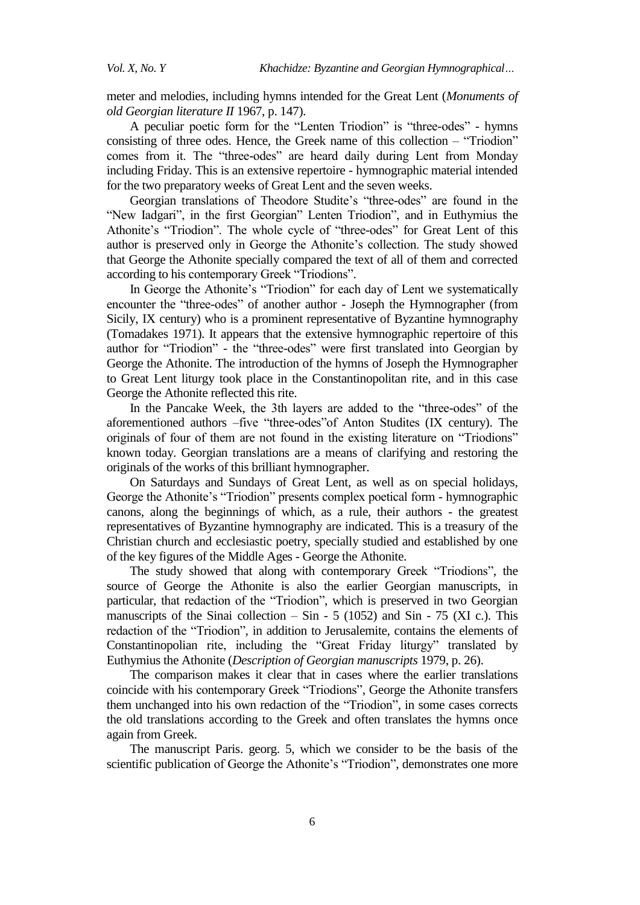meter and melodies, including hymns intended for the Great Lent (*Monuments of old Georgian literature II* 1967, p. 147).

A peculiar poetic form for the "Lenten Triodion" is "three-odes" - hymns consisting of three odes. Hence, the Greek name of this collection – "Triodion" comes from it. The "three-odes" are heard daily during Lent from Monday including Friday. This is an extensive repertoire - hymnographic material intended for the two preparatory weeks of Great Lent and the seven weeks.

Georgian translations of Theodore Studite's "three-odes" are found in the "New Iadgari", in the first Georgian" Lenten Triodion", and in Euthymius the Athonite's "Triodion". The whole cycle of "three-odes" for Great Lent of this author is preserved only in George the Athonite's collection. The study showed that George the Athonite specially compared the text of all of them and corrected according to his contemporary Greek "Triodions".

In George the Athonite's "Triodion" for each day of Lent we systematically encounter the "three-odes" of another author - Joseph the Hymnographer (from Sicily, IX century) who is a prominent representative of Byzantine hymnography (Tomadakes 1971). It appears that the extensive hymnographic repertoire of this author for "Triodion" - the "three-odes" were first translated into Georgian by George the Athonite. The introduction of the hymns of Joseph the Hymnographer to Great Lent liturgy took place in the Constantinopolitan rite, and in this case George the Athonite reflected this rite.

In the Pancake Week, the 3th layers are added to the "three-odes" of the aforementioned authors –five "three-odes" of Anton Studites (IX century). The originals of four of them are not found in the existing literature on "Triodions" known today. Georgian translations are a means of clarifying and restoring the originals of the works of this brilliant hymnographer.

On Saturdays and Sundays of Great Lent, as well as on special holidays, George the Athonite's "Triodion" presents complex poetical form - hymnographic canons, along the beginnings of which, as a rule, their authors - the greatest representatives of Byzantine hymnography are indicated. This is a treasury of the Christian church and ecclesiastic poetry, specially studied and established by one of the key figures of the Middle Ages - George the Athonite.

The study showed that along with contemporary Greek "Triodions", the source of George the Athonite is also the earlier Georgian manuscripts, in particular, that redaction of the "Triodion", which is preserved in two Georgian manuscripts of the Sinai collection – Sin - 5 (1052) and Sin - 75 (XI c.). This redaction of the "Triodion", in addition to Jerusalemite, contains the elements of Constantinopolian rite, including the "Great Friday liturgy" translated by Euthymius the Athonite (*Description of Georgian manuscripts* 1979, p. 26).

The comparison makes it clear that in cases where the earlier translations coincide with his contemporary Greek "Triodions". George the Athonite transfers them unchanged into his own redaction of the "Triodion", in some cases corrects the old translations according to the Greek and often translates the hymns once again from Greek.

The manuscript Paris. georg. 5, which we consider to be the basis of the scientific publication of George the Athonite's "Triodion", demonstrates one more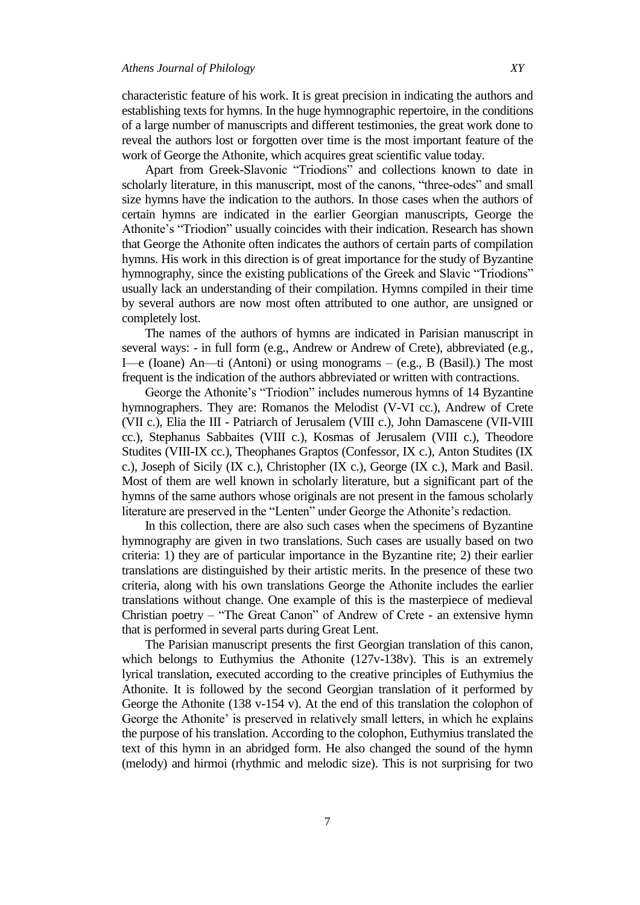characteristic feature of his work. It is great precision in indicating the authors and establishing texts for hymns. In the huge hymnographic repertoire, in the conditions of a large number of manuscripts and different testimonies, the great work done to reveal the authors lost or forgotten over time is the most important feature of the work of George the Athonite, which acquires great scientific value today.

Apart from Greek-Slavonic "Triodions" and collections known to date in scholarly literature, in this manuscript, most of the canons, "three-odes" and small size hymns have the indication to the authors. In those cases when the authors of certain hymns are indicated in the earlier Georgian manuscripts, George the Athonite's "Triodion" usually coincides with their indication. Research has shown that George the Athonite often indicates the authors of certain parts of compilation hymns. His work in this direction is of great importance for the study of Byzantine hymnography, since the existing publications of the Greek and Slavic "Triodions" usually lack an understanding of their compilation. Hymns compiled in their time by several authors are now most often attributed to one author, are unsigned or completely lost.

The names of the authors of hymns are indicated in Parisian manuscript in several ways: - in full form (e.g., Andrew or Andrew of Crete), abbreviated (e.g., I—e (Ioane) An—ti (Antoni) or using monograms – (e.g., B (Basil).) The most frequent is the indication of the authors abbreviated or written with contractions.

George the Athonite's "Triodion" includes numerous hymns of 14 Byzantine hymnographers. They are: Romanos the Melodist (V-VI cc.), Andrew of Crete (VII c.), Elia the III - Patriarch of Jerusalem (VIII c.), John Damascene (VII-VIII cc.), Stephanus Sabbaites (VIII c.), Kosmas of Jerusalem (VIII c.), Theodore Studites (VIII-IX cc.), Theophanes Graptos (Confessor, IX c.), Anton Studites (IX c.), Joseph of Sicily (IX c.), Christopher (IX c.), George (IX c.), Mark and Basil. Most of them are well known in scholarly literature, but a significant part of the hymns of the same authors whose originals are not present in the famous scholarly literature are preserved in the "Lenten" under George the Athonite's redaction.

In this collection, there are also such cases when the specimens of Byzantine hymnography are given in two translations. Such cases are usually based on two criteria: 1) they are of particular importance in the Byzantine rite; 2) their earlier translations are distinguished by their artistic merits. In the presence of these two criteria, along with his own translations George the Athonite includes the earlier translations without change. One example of this is the masterpiece of medieval Christian poetry – "The Great Canon" of Andrew of Crete - an extensive hymn that is performed in several parts during Great Lent.

The Parisian manuscript presents the first Georgian translation of this canon, which belongs to Euthymius the Athonite (127v-138v). This is an extremely lyrical translation, executed according to the creative principles of Euthymius the Athonite. It is followed by the second Georgian translation of it performed by George the Athonite (138 v-154 v). At the end of this translation the colophon of George the Athonite' is preserved in relatively small letters, in which he explains the purpose of his translation. According to the colophon, Euthymius translated the text of this hymn in an abridged form. He also changed the sound of the hymn (melody) and hirmoi (rhythmic and melodic size). This is not surprising for two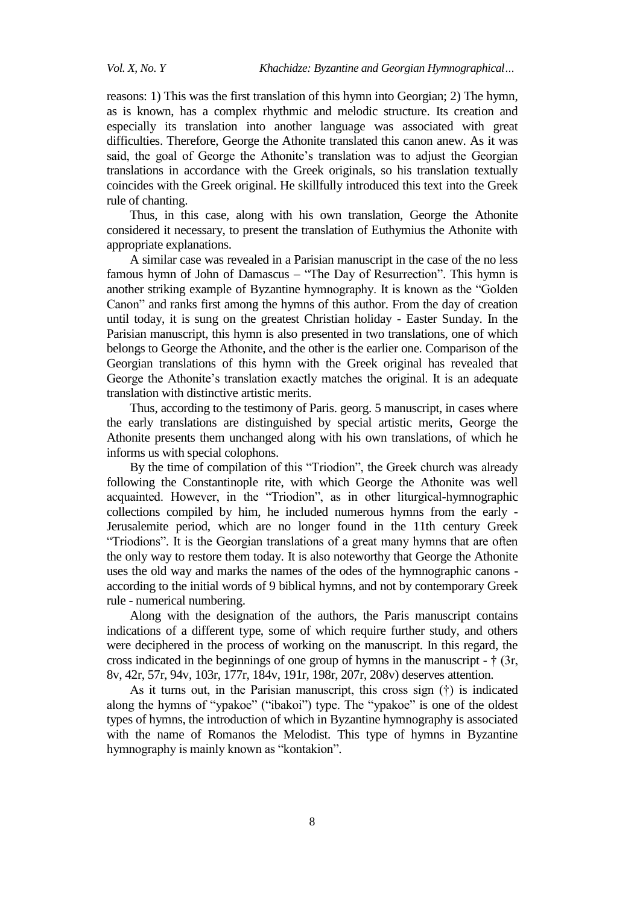reasons: 1) This was the first translation of this hymn into Georgian; 2) The hymn, as is known, has a complex rhythmic and melodic structure. Its creation and especially its translation into another language was associated with great difficulties. Therefore, George the Athonite translated this canon anew. As it was said, the goal of George the Athonite's translation was to adjust the Georgian translations in accordance with the Greek originals, so his translation textually coincides with the Greek original. He skillfully introduced this text into the Greek rule of chanting.

Thus, in this case, along with his own translation, George the Athonite considered it necessary, to present the translation of Euthymius the Athonite with appropriate explanations.

A similar case was revealed in a Parisian manuscript in the case of the no less famous hymn of John of Damascus – "The Day of Resurrection". This hymn is another striking example of Byzantine hymnography. It is known as the "Golden" Canon" and ranks first among the hymns of this author. From the day of creation until today, it is sung on the greatest Christian holiday - Easter Sunday. In the Parisian manuscript, this hymn is also presented in two translations, one of which belongs to George the Athonite, and the other is the earlier one. Comparison of the Georgian translations of this hymn with the Greek original has revealed that George the Athonite's translation exactly matches the original. It is an adequate translation with distinctive artistic merits.

Thus, according to the testimony of Paris. georg. 5 manuscript, in cases where the early translations are distinguished by special artistic merits, George the Athonite presents them unchanged along with his own translations, of which he informs us with special colophons.

By the time of compilation of this "Triodion", the Greek church was already following the Constantinople rite, with which George the Athonite was well acquainted. However, in the "Triodion", as in other liturgical-hymnographic collections compiled by him, he included numerous hymns from the early - Jerusalemite period, which are no longer found in the 11th century Greek "Triodions". It is the Georgian translations of a great many hymns that are often the only way to restore them today. It is also noteworthy that George the Athonite uses the old way and marks the names of the odes of the hymnographic canons according to the initial words of 9 biblical hymns, and not by contemporary Greek rule - numerical numbering.

Along with the designation of the authors, the Paris manuscript contains indications of a different type, some of which require further study, and others were deciphered in the process of working on the manuscript. In this regard, the cross indicated in the beginnings of one group of hymns in the manuscript - † (3r, 8v, 42r, 57r, 94v, 103r, 177r, 184v, 191r, 198r, 207r, 208v) deserves attention.

As it turns out, in the Parisian manuscript, this cross sign (†) is indicated along the hymns of "ypakoe" ("ibakoi") type. The "ypakoe" is one of the oldest types of hymns, the introduction of which in Byzantine hymnography is associated with the name of Romanos the Melodist. This type of hymns in Byzantine hymnography is mainly known as "kontakion".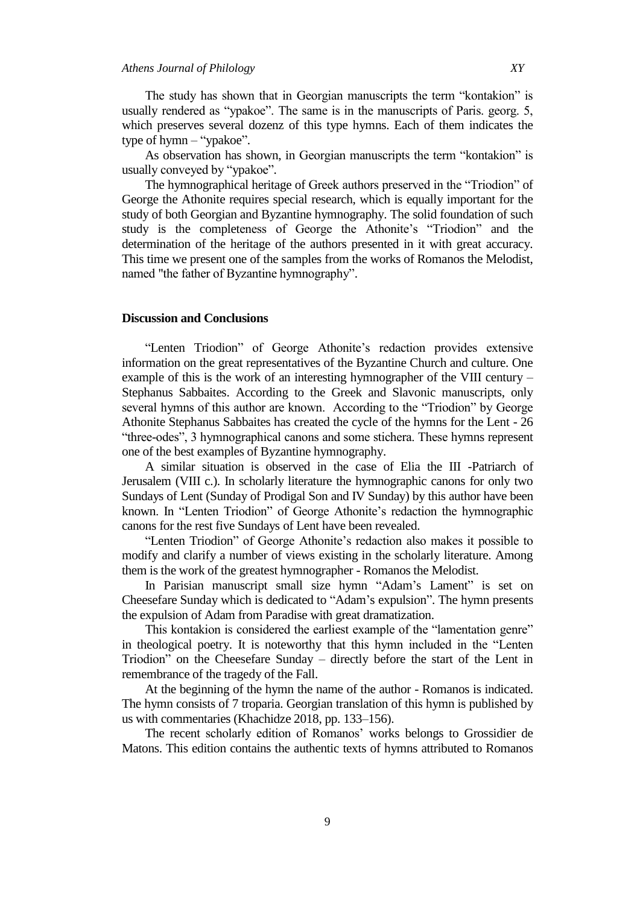The study has shown that in Georgian manuscripts the term "kontakion" is usually rendered as "ypakoe". The same is in the manuscripts of Paris. georg. 5, which preserves several dozenz of this type hymns. Each of them indicates the type of hymn  $-$  "ypakoe".

As observation has shown, in Georgian manuscripts the term "kontakion" is usually conveyed by "ypakoe".

The hymnographical heritage of Greek authors preserved in the "Triodion" of George the Athonite requires special research, which is equally important for the study of both Georgian and Byzantine hymnography. The solid foundation of such study is the completeness of George the Athonite's "Triodion" and the determination of the heritage of the authors presented in it with great accuracy. This time we present one of the samples from the works of Romanos the Melodist, named "the father of Byzantine hymnography".

## **Discussion and Conclusions**

"Lenten Triodion" of George Athonite's redaction provides extensive information on the great representatives of the Byzantine Church and culture. One example of this is the work of an interesting hymnographer of the VIII century – Stephanus Sabbaites. According to the Greek and Slavonic manuscripts, only several hymns of this author are known. According to the "Triodion" by George Athonite Stephanus Sabbaites has created the cycle of the hymns for the Lent - 26 "three-odes", 3 hymnographical canons and some stichera. These hymns represent one of the best examples of Byzantine hymnography.

A similar situation is observed in the case of Elia the III -Patriarch of Jerusalem (VIII c.). In scholarly literature the hymnographic canons for only two Sundays of Lent (Sunday of Prodigal Son and IV Sunday) by this author have been known. In "Lenten Triodion" of George Athonite's redaction the hymnographic canons for the rest five Sundays of Lent have been revealed.

"Lenten Triodion" of George Athonite's redaction also makes it possible to modify and clarify a number of views existing in the scholarly literature. Among them is the work of the greatest hymnographer - Romanos the Melodist.

In Parisian manuscript small size hymn "Adam's Lament" is set on Cheesefare Sunday which is dedicated to "Adam's expulsion". The hymn presents the expulsion of Adam from Paradise with great dramatization.

This kontakion is considered the earliest example of the "lamentation genre" in theological poetry. It is noteworthy that this hymn included in the "Lenten Triodion" on the Cheesefare Sunday – directly before the start of the Lent in remembrance of the tragedy of the Fall.

At the beginning of the hymn the name of the author - Romanos is indicated. The hymn consists of 7 troparia. Georgian translation of this hymn is published by us with commentaries (Khachidze 2018, pp. 133–156).

The recent scholarly edition of Romanos' works belongs to Grossidier de Matons. This edition contains the authentic texts of hymns attributed to Romanos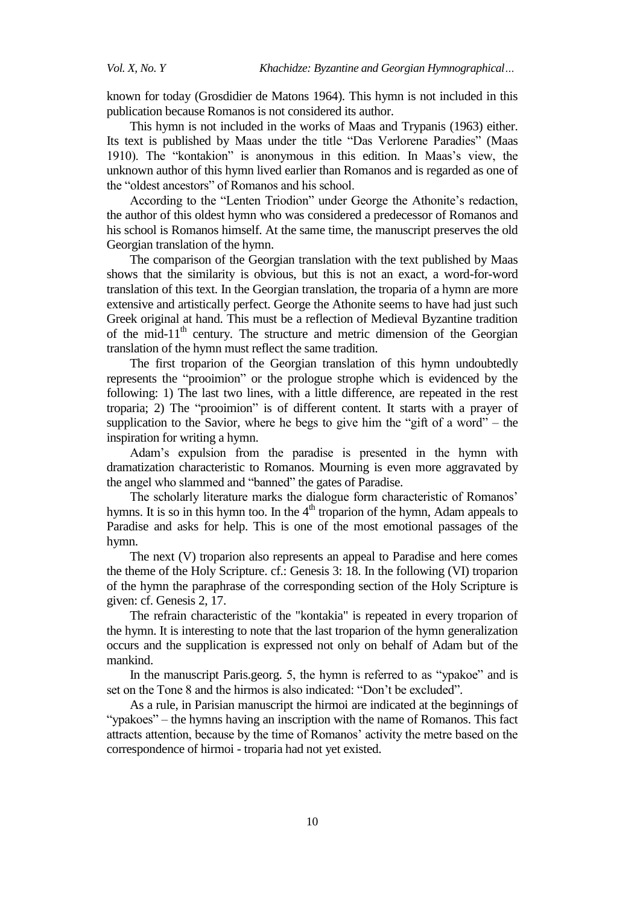known for today (Grosdidier de Matons 1964). This hymn is not included in this publication because Romanos is not considered its author.

This hymn is not included in the works of Maas and Trypanis (1963) either. Its text is published by Maas under the title "Das Verlorene Paradies" (Maas 1910). The "kontakion" is anonymous in this edition. In Maas's view, the unknown author of this hymn lived earlier than Romanos and is regarded as one of the "oldest ancestors" of Romanos and his school.

According to the "Lenten Triodion" under George the Athonite's redaction, the author of this oldest hymn who was considered a predecessor of Romanos and his school is Romanos himself. At the same time, the manuscript preserves the old Georgian translation of the hymn.

The comparison of the Georgian translation with the text published by Maas shows that the similarity is obvious, but this is not an exact, a word-for-word translation of this text. In the Georgian translation, the troparia of a hymn are more extensive and artistically perfect. George the Athonite seems to have had just such Greek original at hand. This must be a reflection of Medieval Byzantine tradition of the mid-11<sup>th</sup> century. The structure and metric dimension of the Georgian translation of the hymn must reflect the same tradition.

The first troparion of the Georgian translation of this hymn undoubtedly represents the "prooimion" or the prologue strophe which is evidenced by the following: 1) The last two lines, with a little difference, are repeated in the rest troparia; 2) The "prooimion" is of different content. It starts with a prayer of supplication to the Savior, where he begs to give him the "gift of a word" – the inspiration for writing a hymn.

Adam's expulsion from the paradise is presented in the hymn with dramatization characteristic to Romanos. Mourning is even more aggravated by the angel who slammed and "banned" the gates of Paradise.

The scholarly literature marks the dialogue form characteristic of Romanos' hymns. It is so in this hymn too. In the  $4<sup>th</sup>$  troparion of the hymn, Adam appeals to Paradise and asks for help. This is one of the most emotional passages of the hymn.

The next (V) troparion also represents an appeal to Paradise and here comes the theme of the Holy Scripture. cf.: Genesis 3: 18. In the following (VI) troparion of the hymn the paraphrase of the corresponding section of the Holy Scripture is given: cf. Genesis 2, 17.

The refrain characteristic of the "kontakia" is repeated in every troparion of the hymn. It is interesting to note that the last troparion of the hymn generalization occurs and the supplication is expressed not only on behalf of Adam but of the mankind.

In the manuscript Paris.georg. 5, the hymn is referred to as "ypakoe" and is set on the Tone 8 and the hirmos is also indicated: "Don't be excluded".

As a rule, in Parisian manuscript the hirmoi are indicated at the beginnings of "ypakoes" – the hymns having an inscription with the name of Romanos. This fact attracts attention, because by the time of Romanos' activity the metre based on the correspondence of hirmoi - troparia had not yet existed.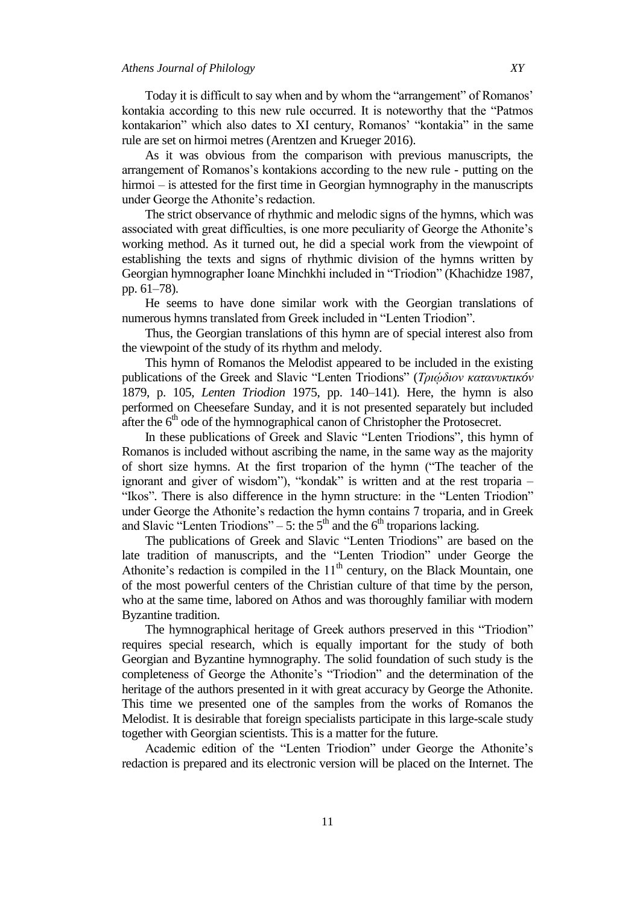Today it is difficult to say when and by whom the "arrangement" of Romanos" kontakia according to this new rule occurred. It is noteworthy that the "Patmos" kontakarion" which also dates to XI century, Romanos' "kontakia" in the same rule are set on hirmoi metres (Arentzen and Krueger 2016).

As it was obvious from the comparison with previous manuscripts, the arrangement of Romanos's kontakions according to the new rule - putting on the hirmoi – is attested for the first time in Georgian hymnography in the manuscripts under George the Athonite's redaction.

The strict observance of rhythmic and melodic signs of the hymns, which was associated with great difficulties, is one more peculiarity of George the Athonite's working method. As it turned out, he did a special work from the viewpoint of establishing the texts and signs of rhythmic division of the hymns written by Georgian hymnographer Ioane Minchkhi included in "Triodion" (Khachidze 1987, pp. 61–78).

He seems to have done similar work with the Georgian translations of numerous hymns translated from Greek included in "Lenten Triodion".

Thus, the Georgian translations of this hymn are of special interest also from the viewpoint of the study of its rhythm and melody.

This hymn of Romanos the Melodist appeared to be included in the existing publications of the Greek and Slavic ―Lenten Triodions‖ (*Τριῴδιον κατανσκτικóν* 1879, p. 105, *Lenten Triodion* 1975, pp. 140–141). Here, the hymn is also performed on Cheesefare Sunday, and it is not presented separately but included after the  $6<sup>th</sup>$  ode of the hymnographical canon of Christopher the Protosecret.

In these publications of Greek and Slavic "Lenten Triodions", this hymn of Romanos is included without ascribing the name, in the same way as the majority of short size hymns. At the first troparion of the hymn ("The teacher of the ignorant and giver of wisdom"), "kondak" is written and at the rest troparia – "Ikos". There is also difference in the hymn structure: in the "Lenten Triodion" under George the Athonite's redaction the hymn contains 7 troparia, and in Greek and Slavic "Lenten Triodions" – 5: the  $5<sup>th</sup>$  and the  $6<sup>th</sup>$  troparions lacking.

The publications of Greek and Slavic "Lenten Triodions" are based on the late tradition of manuscripts, and the "Lenten Triodion" under George the Athonite's redaction is compiled in the  $11<sup>th</sup>$  century, on the Black Mountain, one of the most powerful centers of the Christian culture of that time by the person, who at the same time, labored on Athos and was thoroughly familiar with modern Byzantine tradition.

The hymnographical heritage of Greek authors preserved in this "Triodion" requires special research, which is equally important for the study of both Georgian and Byzantine hymnography. The solid foundation of such study is the completeness of George the Athonite's "Triodion" and the determination of the heritage of the authors presented in it with great accuracy by George the Athonite. This time we presented one of the samples from the works of Romanos the Melodist. It is desirable that foreign specialists participate in this large-scale study together with Georgian scientists. This is a matter for the future.

Academic edition of the "Lenten Triodion" under George the Athonite's redaction is prepared and its electronic version will be placed on the Internet. The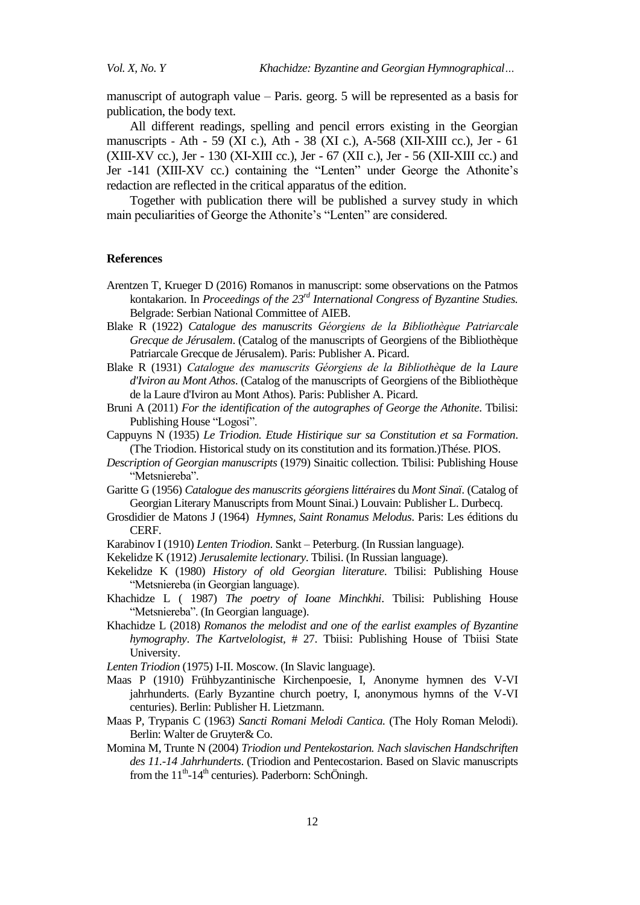manuscript of autograph value – Paris. georg. 5 will be represented as a basis for publication, the body text.

All different readings, spelling and pencil errors existing in the Georgian manuscripts - Ath - 59 (XI c.), Ath - 38 (XI c.), A-568 (XII-XIII cc.), Jer - 61 (XIII-XV cc.), Jer - 130 (XI-XIII cc.), Jer - 67 (XII c.), Jer - 56 (XII-XIII cc.) and Jer -141 (XIII-XV cc.) containing the "Lenten" under George the Athonite's redaction are reflected in the critical apparatus of the edition.

Together with publication there will be published a survey study in which main peculiarities of George the Athonite's "Lenten" are considered.

### **References**

- Arentzen T, Krueger D (2016) Romanos in manuscript: some observations on the Patmos kontakarion. In *Proceedings of the 23rd International Congress of Byzantine Studies.*  Belgrade: Serbian National Committee of AIEB.
- Blake R (1922) Catalogue des manuscrits Géorgiens de la Bibliothèque Patriarcale *Grecque de Jérusalem*. (Catalog of the manuscripts of Georgiens of the Bibliothèque Patriarcale Grecque de Jérusalem). Paris: Publisher A. Picard.
- Blake R (1931) *Catalogue des manuscrits Géorgiens de la Bibliothèque de la Laure d'Iviron au Mont Athos*. (Catalog of the manuscripts of Georgiens of the Bibliothèque de la Laure d'Iviron au Mont Athos). Paris: Publisher A. Picard.
- Bruni A (2011) *For the identification of the autographes of George the Athonite*. Tbilisi: Publishing House "Logosi".
- Cappuyns N (1935) *Le Triodion. Etude Histirique sur sa Constitution et sa Formation*. (The Triodion. Historical study on its constitution and its formation.)Thése. PIOS.
- *Description of Georgian manuscripts* (1979) Sinaitic collection. Tbilisi: Publishing House "Metsniereba".
- Garitte G (1956) *Catalogue des manuscrits géorgiens littéraires* du *Mont Sinaï*. (Catalog of Georgian Literary Manuscripts from Mount Sinai.) Louvain: Publisher L. Durbecq.
- Grosdidier de Matons J (1964) *Hymnes, Saint Ronamus Melodus*. Paris: Les éditions du CERF.
- Karabinov I (1910) *Lenten Triodion*. Sankt Peterburg. (In Russian language).
- Kekelidze K (1912) *Jerusalemite lectionary*. Tbilisi. (In Russian language).
- Kekelidze K (1980) *History of old Georgian literature*. Tbilisi: Publishing House ―Metsniereba (in Georgian language).
- Khachidze L ( 1987) *The poetry of Ioane Minchkhi*. Tbilisi: Publishing House "Metsniereba". (In Georgian language).
- Khachidze L (2018) *Romanos the melodist and one of the earlist examples of Byzantine hymography*. *The Kartvelologist,* # 27. Tbiisi: Publishing House of Tbiisi State University.
- *Lenten Triodion* (1975) I-II. Moscow. (In Slavic language).
- Maas P (1910) Frühbyzantinische Kirchenpoesie, I, Anonyme hymnen des V-VI jahrhunderts. (Early Byzantine church poetry, I, anonymous hymns of the V-VI centuries). Berlin: Publisher H. Lietzmann.
- Maas P, Trypanis C (1963) *Sancti Romani Melodi Cantica.* (The Holy Roman Melodi). Berlin: Walter de Gruyter& Co.
- Momina M, Trunte N (2004) *Triodion und Pentekostarion. Nach slavischen Handschriften des 11.-14 Jahrhunderts*. (Triodion and Pentecostarion. Based on Slavic manuscripts from the  $11<sup>th</sup>$ -14<sup>th</sup> centuries). Paderborn: SchÖningh.